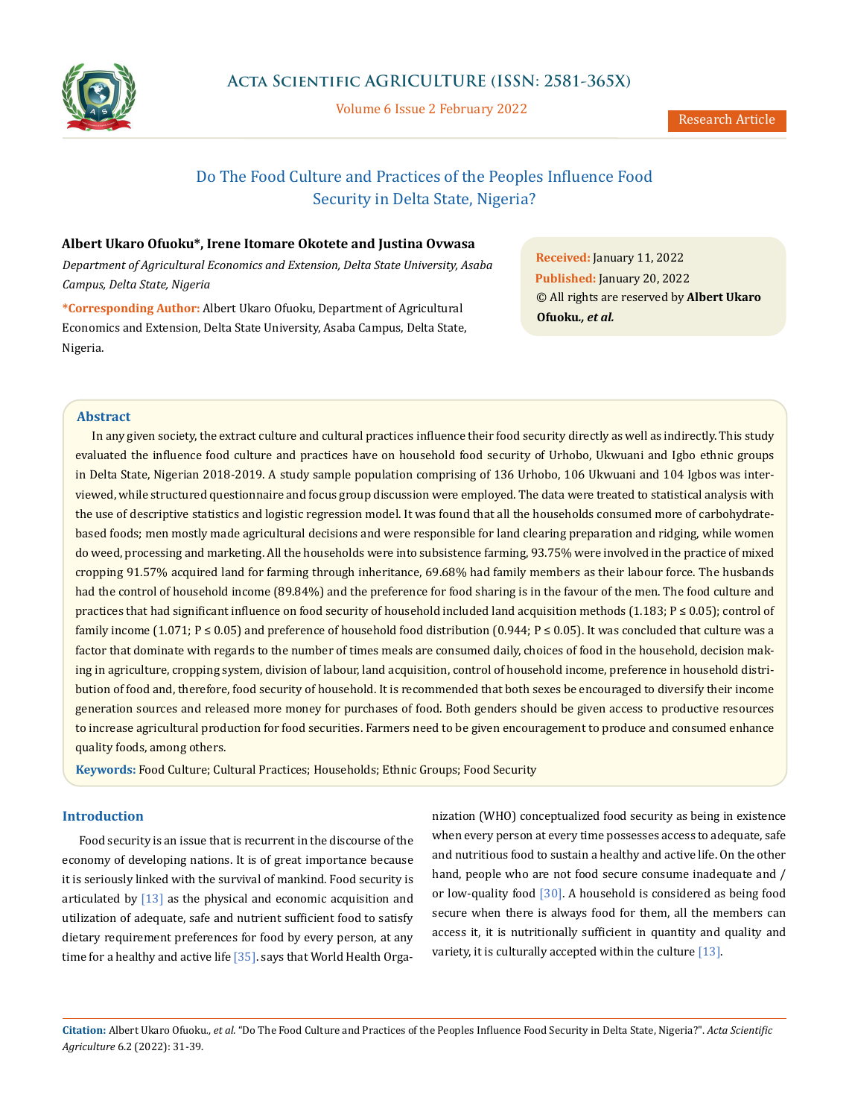

Volume 6 Issue 2 February 2022

# Do The Food Culture and Practices of the Peoples Influence Food Security in Delta State, Nigeria?

## **Albert Ukaro Ofuoku\*, Irene Itomare Okotete and Justina Ovwasa**

*Department of Agricultural Economics and Extension, Delta State University, Asaba Campus, Delta State, Nigeria*

**\*Corresponding Author:** Albert Ukaro Ofuoku, Department of Agricultural Economics and Extension, Delta State University, Asaba Campus, Delta State, Nigeria.

**Received:** January 11, 2022 **Published:** January 20, 2022 © All rights are reserved by **Albert Ukaro Ofuoku***., et al.*

### **Abstract**

In any given society, the extract culture and cultural practices influence their food security directly as well as indirectly. This study evaluated the influence food culture and practices have on household food security of Urhobo, Ukwuani and Igbo ethnic groups in Delta State, Nigerian 2018-2019. A study sample population comprising of 136 Urhobo, 106 Ukwuani and 104 Igbos was interviewed, while structured questionnaire and focus group discussion were employed. The data were treated to statistical analysis with the use of descriptive statistics and logistic regression model. It was found that all the households consumed more of carbohydratebased foods; men mostly made agricultural decisions and were responsible for land clearing preparation and ridging, while women do weed, processing and marketing. All the households were into subsistence farming, 93.75% were involved in the practice of mixed cropping 91.57% acquired land for farming through inheritance, 69.68% had family members as their labour force. The husbands had the control of household income (89.84%) and the preference for food sharing is in the favour of the men. The food culture and practices that had significant influence on food security of household included land acquisition methods (1.183; P ≤ 0.05); control of family income (1.071; P ≤ 0.05) and preference of household food distribution (0.944; P ≤ 0.05). It was concluded that culture was a factor that dominate with regards to the number of times meals are consumed daily, choices of food in the household, decision making in agriculture, cropping system, division of labour, land acquisition, control of household income, preference in household distribution of food and, therefore, food security of household. It is recommended that both sexes be encouraged to diversify their income generation sources and released more money for purchases of food. Both genders should be given access to productive resources to increase agricultural production for food securities. Farmers need to be given encouragement to produce and consumed enhance quality foods, among others.

**Keywords:** Food Culture; Cultural Practices; Households; Ethnic Groups; Food Security

## **Introduction**

Food security is an issue that is recurrent in the discourse of the economy of developing nations. It is of great importance because it is seriously linked with the survival of mankind. Food security is articulated by  $[13]$  as the physical and economic acquisition and utilization of adequate, safe and nutrient sufficient food to satisfy dietary requirement preferences for food by every person, at any time for a healthy and active life [35]. says that World Health Orga-

nization (WHO) conceptualized food security as being in existence when every person at every time possesses access to adequate, safe and nutritious food to sustain a healthy and active life. On the other hand, people who are not food secure consume inadequate and / or low-quality food [30]. A household is considered as being food secure when there is always food for them, all the members can access it, it is nutritionally sufficient in quantity and quality and variety, it is culturally accepted within the culture [13].

**Citation:** Albert Ukaro Ofuoku*., et al.* "Do The Food Culture and Practices of the Peoples Influence Food Security in Delta State, Nigeria?". *Acta Scientific Agriculture* 6.2 (2022): 31-39.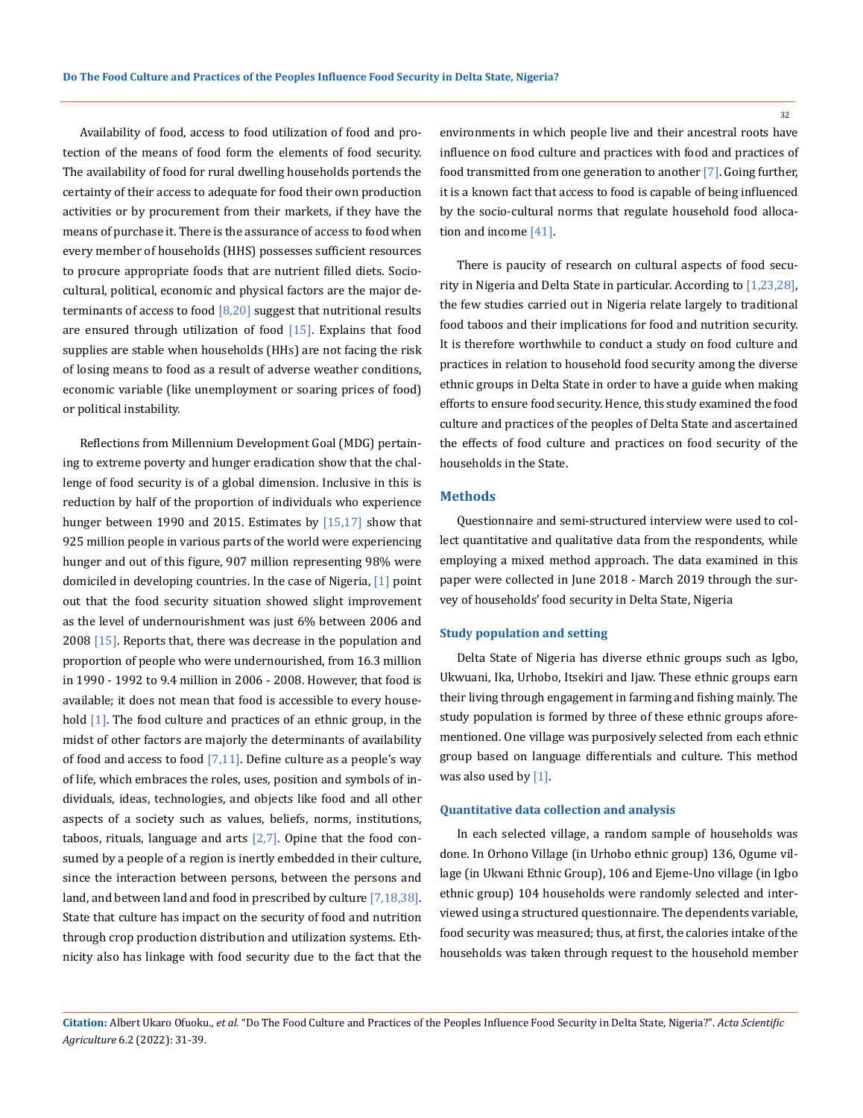Availability of food, access to food utilization of food and protection of the means of food form the elements of food security. The availability of food for rural dwelling households portends the certainty of their access to adequate for food their own production activities or by procurement from their markets, if they have the means of purchase it. There is the assurance of access to food when every member of households (HHS) possesses sufficient resources to procure appropriate foods that are nutrient filled diets. Sociocultural, political, economic and physical factors are the major determinants of access to food  $[8,20]$  suggest that nutritional results are ensured through utilization of food [15]. Explains that food supplies are stable when households (HHs) are not facing the risk of losing means to food as a result of adverse weather conditions, economic variable (like unemployment or soaring prices of food) or political instability.

Reflections from Millennium Development Goal (MDG) pertaining to extreme poverty and hunger eradication show that the challenge of food security is of a global dimension. Inclusive in this is reduction by half of the proportion of individuals who experience hunger between 1990 and 2015. Estimates by  $[15,17]$  show that 925 million people in various parts of the world were experiencing hunger and out of this figure, 907 million representing 98% were domiciled in developing countries. In the case of Nigeria, [1] point out that the food security situation showed slight improvement as the level of undernourishment was just 6% between 2006 and 2008 [15]. Reports that, there was decrease in the population and proportion of people who were undernourished, from 16.3 million in 1990 - 1992 to 9.4 million in 2006 - 2008. However, that food is available; it does not mean that food is accessible to every household [1]. The food culture and practices of an ethnic group, in the midst of other factors are majorly the determinants of availability of food and access to food  $[7,11]$ . Define culture as a people's way of life, which embraces the roles, uses, position and symbols of individuals, ideas, technologies, and objects like food and all other aspects of a society such as values, beliefs, norms, institutions, taboos, rituals, language and arts  $[2,7]$ . Opine that the food consumed by a people of a region is inertly embedded in their culture, since the interaction between persons, between the persons and land, and between land and food in prescribed by culture [7,18,38]. State that culture has impact on the security of food and nutrition through crop production distribution and utilization systems. Ethnicity also has linkage with food security due to the fact that the

environments in which people live and their ancestral roots have influence on food culture and practices with food and practices of food transmitted from one generation to another [7]. Going further, it is a known fact that access to food is capable of being influenced by the socio-cultural norms that regulate household food allocation and income [41].

There is paucity of research on cultural aspects of food security in Nigeria and Delta State in particular. According to [1,23,28], the few studies carried out in Nigeria relate largely to traditional food taboos and their implications for food and nutrition security. It is therefore worthwhile to conduct a study on food culture and practices in relation to household food security among the diverse ethnic groups in Delta State in order to have a guide when making efforts to ensure food security. Hence, this study examined the food culture and practices of the peoples of Delta State and ascertained the effects of food culture and practices on food security of the households in the State.

### **Methods**

Questionnaire and semi-structured interview were used to collect quantitative and qualitative data from the respondents, while employing a mixed method approach. The data examined in this paper were collected in June 2018 - March 2019 through the survey of households' food security in Delta State, Nigeria

#### **Study population and setting**

Delta State of Nigeria has diverse ethnic groups such as Igbo, Ukwuani, Ika, Urhobo, Itsekiri and Ijaw. These ethnic groups earn their living through engagement in farming and fishing mainly. The study population is formed by three of these ethnic groups aforementioned. One village was purposively selected from each ethnic group based on language differentials and culture. This method was also used by  $[1]$ .

#### **Quantitative data collection and analysis**

In each selected village, a random sample of households was done. In Orhono Village (in Urhobo ethnic group) 136, Ogume village (in Ukwani Ethnic Group), 106 and Ejeme-Uno village (in Igbo ethnic group) 104 households were randomly selected and interviewed using a structured questionnaire. The dependents variable, food security was measured; thus, at first, the calories intake of the households was taken through request to the household member

**Citation:** Albert Ukaro Ofuoku*., et al.* "Do The Food Culture and Practices of the Peoples Influence Food Security in Delta State, Nigeria?". *Acta Scientific Agriculture* 6.2 (2022): 31-39.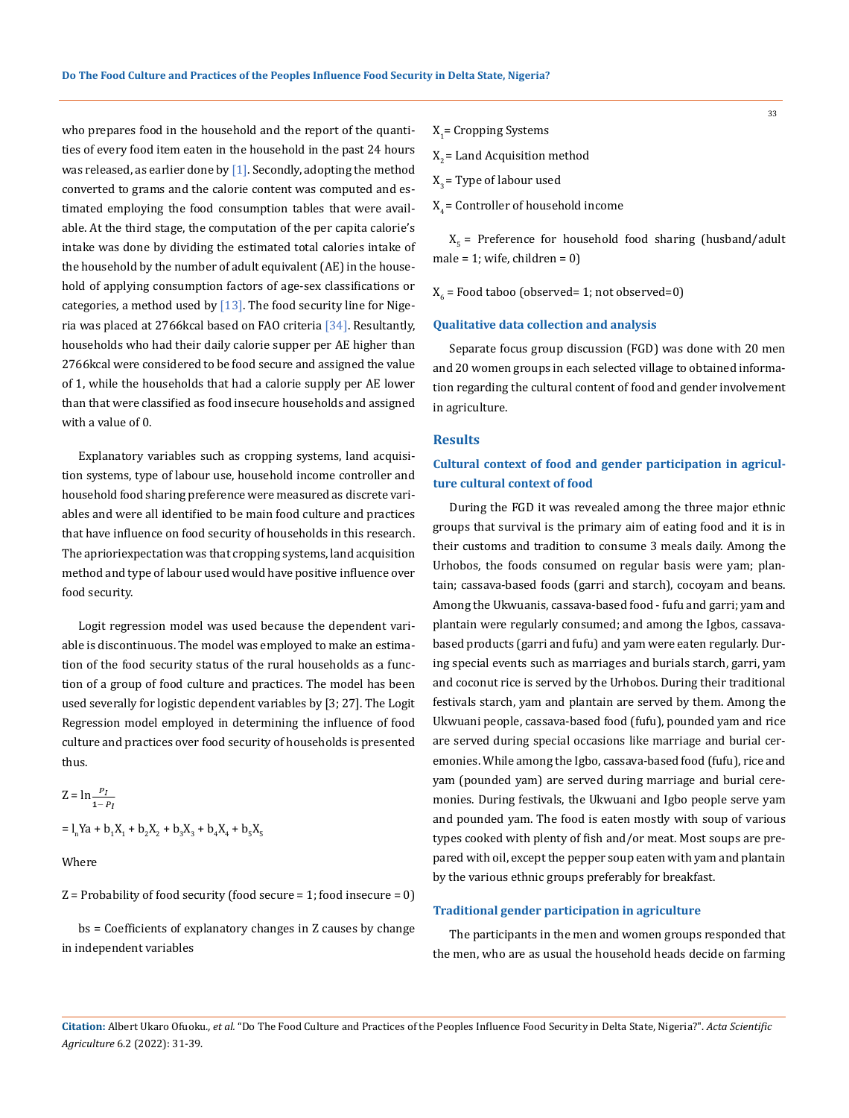who prepares food in the household and the report of the quantities of every food item eaten in the household in the past 24 hours was released, as earlier done by  $[1]$ . Secondly, adopting the method converted to grams and the calorie content was computed and estimated employing the food consumption tables that were available. At the third stage, the computation of the per capita calorie's intake was done by dividing the estimated total calories intake of the household by the number of adult equivalent (AE) in the household of applying consumption factors of age-sex classifications or categories, a method used by  $[13]$ . The food security line for Nigeria was placed at 2766kcal based on FAO criteria [34]. Resultantly, households who had their daily calorie supper per AE higher than 2766kcal were considered to be food secure and assigned the value of 1, while the households that had a calorie supply per AE lower than that were classified as food insecure households and assigned with a value of 0.

Explanatory variables such as cropping systems, land acquisition systems, type of labour use, household income controller and household food sharing preference were measured as discrete variables and were all identified to be main food culture and practices that have influence on food security of households in this research. The aprioriexpectation was that cropping systems, land acquisition method and type of labour used would have positive influence over food security.

Logit regression model was used because the dependent variable is discontinuous. The model was employed to make an estimation of the food security status of the rural households as a function of a group of food culture and practices. The model has been used severally for logistic dependent variables by [3; 27]. The Logit Regression model employed in determining the influence of food culture and practices over food security of households is presented thus.

$$
Z = \ln \frac{P_I}{1 - P_I}
$$
  
=  $l_n$ Ya +  $b_1$ X<sub>1</sub> +  $b_2$ X<sub>2</sub> +  $b_3$ X<sub>3</sub> +  $b_4$ X<sub>4</sub> +  $b_5$ X<sub>5</sub>

Where

 $Z =$  Probability of food security (food secure = 1; food insecure = 0)

bs = Coefficients of explanatory changes in Z causes by change in independent variables

X<sub>1</sub>= Cropping Systems

 $X<sub>2</sub>$  = Land Acquisition method

 $X<sub>2</sub>$  = Type of labour used

 $X<sub>a</sub>$  = Controller of household income

 $X<sub>r</sub>$  = Preference for household food sharing (husband/adult male = 1; wife, children =  $0$ )

 $X_{6}$  = Food taboo (observed= 1; not observed=0)

#### **Qualitative data collection and analysis**

Separate focus group discussion (FGD) was done with 20 men and 20 women groups in each selected village to obtained information regarding the cultural content of food and gender involvement in agriculture.

#### **Results**

## **Cultural context of food and gender participation in agriculture cultural context of food**

During the FGD it was revealed among the three major ethnic groups that survival is the primary aim of eating food and it is in their customs and tradition to consume 3 meals daily. Among the Urhobos, the foods consumed on regular basis were yam; plantain; cassava-based foods (garri and starch), cocoyam and beans. Among the Ukwuanis, cassava-based food - fufu and garri; yam and plantain were regularly consumed; and among the Igbos, cassavabased products (garri and fufu) and yam were eaten regularly. During special events such as marriages and burials starch, garri, yam and coconut rice is served by the Urhobos. During their traditional festivals starch, yam and plantain are served by them. Among the Ukwuani people, cassava-based food (fufu), pounded yam and rice are served during special occasions like marriage and burial ceremonies. While among the Igbo, cassava-based food (fufu), rice and yam (pounded yam) are served during marriage and burial ceremonies. During festivals, the Ukwuani and Igbo people serve yam and pounded yam. The food is eaten mostly with soup of various types cooked with plenty of fish and/or meat. Most soups are prepared with oil, except the pepper soup eaten with yam and plantain by the various ethnic groups preferably for breakfast.

#### **Traditional gender participation in agriculture**

The participants in the men and women groups responded that the men, who are as usual the household heads decide on farming

**Citation:** Albert Ukaro Ofuoku*., et al.* "Do The Food Culture and Practices of the Peoples Influence Food Security in Delta State, Nigeria?". *Acta Scientific Agriculture* 6.2 (2022): 31-39.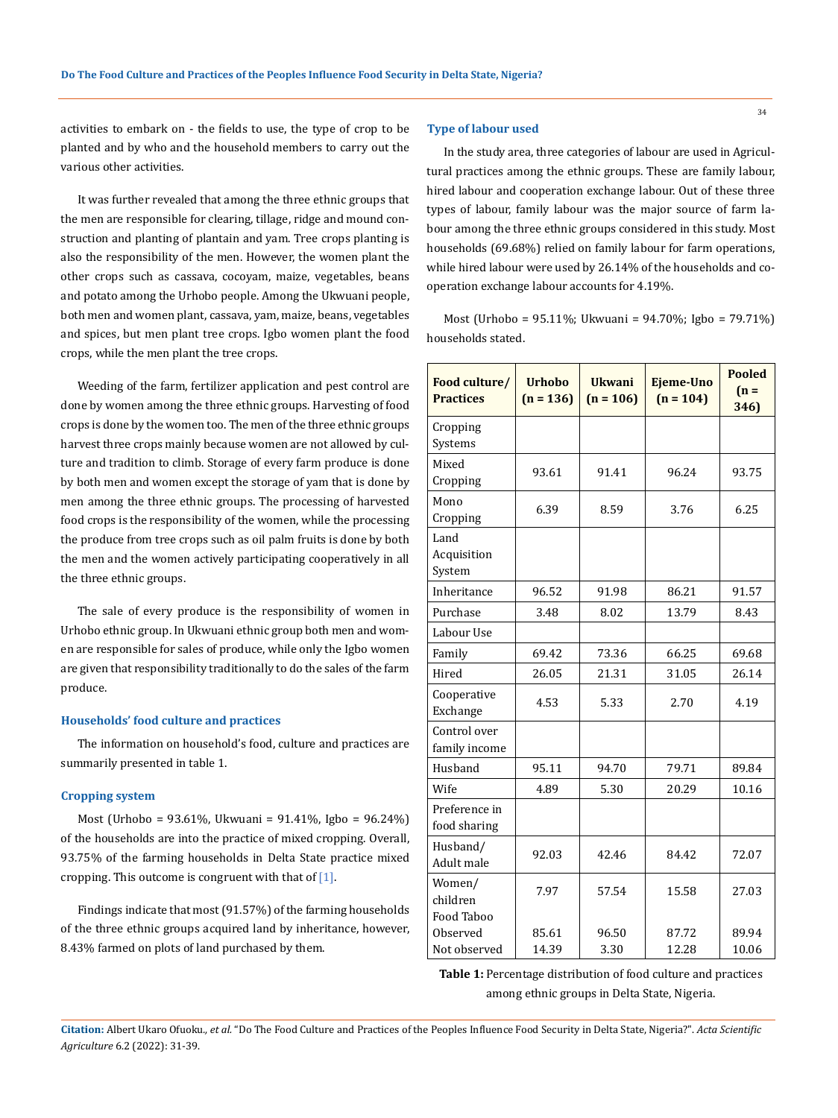activities to embark on - the fields to use, the type of crop to be planted and by who and the household members to carry out the various other activities.

It was further revealed that among the three ethnic groups that the men are responsible for clearing, tillage, ridge and mound construction and planting of plantain and yam. Tree crops planting is also the responsibility of the men. However, the women plant the other crops such as cassava, cocoyam, maize, vegetables, beans and potato among the Urhobo people. Among the Ukwuani people, both men and women plant, cassava, yam, maize, beans, vegetables and spices, but men plant tree crops. Igbo women plant the food crops, while the men plant the tree crops.

Weeding of the farm, fertilizer application and pest control are done by women among the three ethnic groups. Harvesting of food crops is done by the women too. The men of the three ethnic groups harvest three crops mainly because women are not allowed by culture and tradition to climb. Storage of every farm produce is done by both men and women except the storage of yam that is done by men among the three ethnic groups. The processing of harvested food crops is the responsibility of the women, while the processing the produce from tree crops such as oil palm fruits is done by both the men and the women actively participating cooperatively in all the three ethnic groups.

The sale of every produce is the responsibility of women in Urhobo ethnic group. In Ukwuani ethnic group both men and women are responsible for sales of produce, while only the Igbo women are given that responsibility traditionally to do the sales of the farm produce.

#### **Households' food culture and practices**

The information on household's food, culture and practices are summarily presented in table 1.

#### **Cropping system**

Most (Urhobo = 93.61%, Ukwuani = 91.41%, Igbo = 96.24%) of the households are into the practice of mixed cropping. Overall, 93.75% of the farming households in Delta State practice mixed cropping. This outcome is congruent with that of  $[1]$ .

Findings indicate that most (91.57%) of the farming households of the three ethnic groups acquired land by inheritance, however, 8.43% farmed on plots of land purchased by them.

#### **Type of labour used**

In the study area, three categories of labour are used in Agricultural practices among the ethnic groups. These are family labour, hired labour and cooperation exchange labour. Out of these three types of labour, family labour was the major source of farm labour among the three ethnic groups considered in this study. Most households (69.68%) relied on family labour for farm operations, while hired labour were used by 26.14% of the households and cooperation exchange labour accounts for 4.19%.

Most (Urhobo = 95.11%; Ukwuani = 94.70%; Igbo = 79.71%) households stated.

| Food culture/<br><b>Practices</b> | <b>Urhobo</b><br>$(n = 136)$ | <b>Ukwani</b><br>$(n = 106)$ | Ejeme-Uno<br>$(n = 104)$ | <b>Pooled</b><br>$(n =$<br>346) |
|-----------------------------------|------------------------------|------------------------------|--------------------------|---------------------------------|
| Cropping<br>Systems               |                              |                              |                          |                                 |
| Mixed<br>Cropping                 | 93.61                        | 91.41                        | 96.24                    | 93.75                           |
| Mono<br>Cropping                  | 6.39                         | 8.59                         | 3.76                     | 6.25                            |
| Land<br>Acquisition<br>System     |                              |                              |                          |                                 |
| Inheritance                       | 96.52                        | 91.98                        | 86.21                    | 91.57                           |
| Purchase                          | 3.48                         | 8.02                         | 13.79                    | 8.43                            |
| Labour Use                        |                              |                              |                          |                                 |
| Family                            | 69.42                        | 73.36                        | 66.25                    | 69.68                           |
| Hired                             | 26.05                        | 21.31                        | 31.05                    | 26.14                           |
| Cooperative<br>Exchange           | 4.53                         | 5.33                         | 2.70                     | 4.19                            |
| Control over<br>family income     |                              |                              |                          |                                 |
| Husband                           | 95.11                        | 94.70                        | 79.71                    | 89.84                           |
| Wife                              | 4.89                         | 5.30                         | 20.29                    | 10.16                           |
| Preference in<br>food sharing     |                              |                              |                          |                                 |
| Husband/<br>Adult male            | 92.03                        | 42.46                        | 84.42                    | 72.07                           |
| Women/<br>children<br>Food Taboo  | 7.97                         | 57.54                        | 15.58                    | 27.03                           |
| Observed<br>Not observed          | 85.61<br>14.39               | 96.50<br>3.30                | 87.72<br>12.28           | 89.94<br>10.06                  |

**Table 1:** Percentage distribution of food culture and practices among ethnic groups in Delta State, Nigeria.

**Citation:** Albert Ukaro Ofuoku*., et al.* "Do The Food Culture and Practices of the Peoples Influence Food Security in Delta State, Nigeria?". *Acta Scientific Agriculture* 6.2 (2022): 31-39.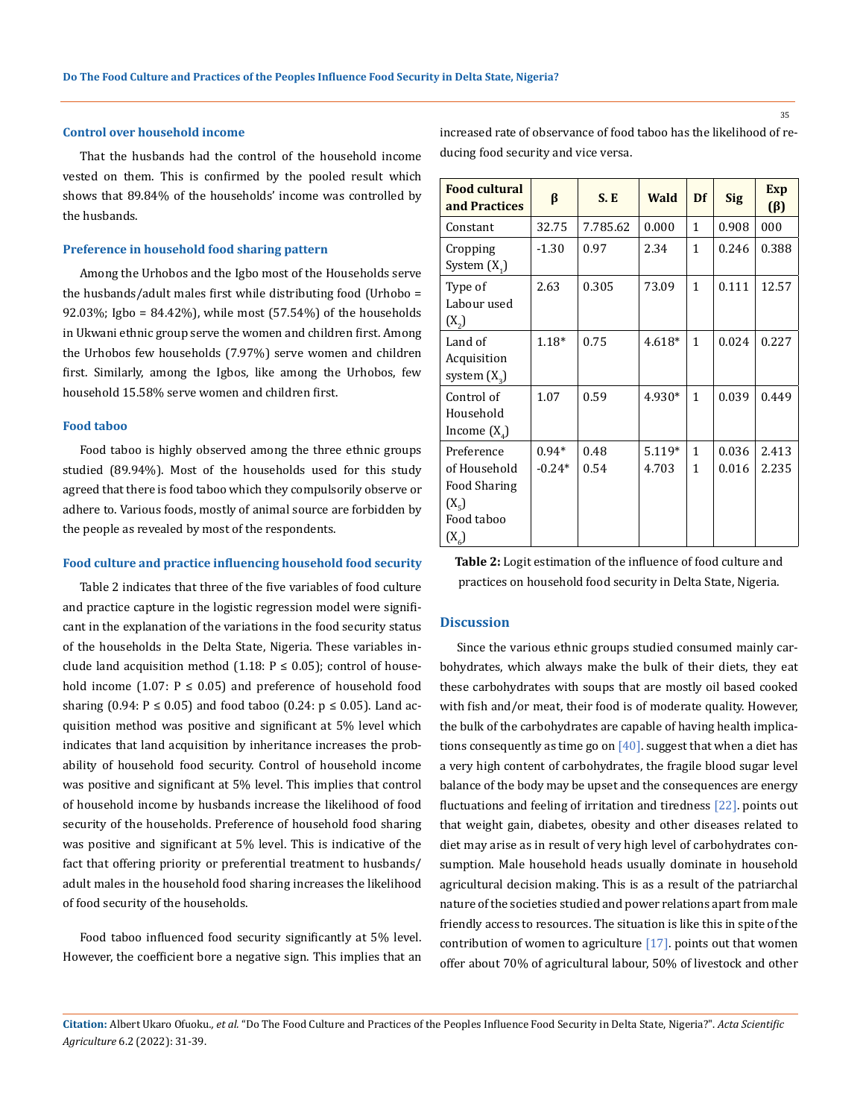#### **Control over household income**

That the husbands had the control of the household income vested on them. This is confirmed by the pooled result which shows that 89.84% of the households' income was controlled by the husbands.

#### **Preference in household food sharing pattern**

Among the Urhobos and the Igbo most of the Households serve the husbands/adult males first while distributing food (Urhobo = 92.03%; Igbo =  $84.42\%$ ), while most (57.54%) of the households in Ukwani ethnic group serve the women and children first. Among the Urhobos few households (7.97%) serve women and children first. Similarly, among the Igbos, like among the Urhobos, few household 15.58% serve women and children first.

#### **Food taboo**

Food taboo is highly observed among the three ethnic groups studied (89.94%). Most of the households used for this study agreed that there is food taboo which they compulsorily observe or adhere to. Various foods, mostly of animal source are forbidden by the people as revealed by most of the respondents.

#### **Food culture and practice influencing household food security**

Table 2 indicates that three of the five variables of food culture and practice capture in the logistic regression model were significant in the explanation of the variations in the food security status of the households in the Delta State, Nigeria. These variables include land acquisition method (1.18:  $P \le 0.05$ ); control of household income  $(1.07: P \le 0.05)$  and preference of household food sharing (0.94: P ≤ 0.05) and food taboo (0.24: p ≤ 0.05). Land acquisition method was positive and significant at 5% level which indicates that land acquisition by inheritance increases the probability of household food security. Control of household income was positive and significant at 5% level. This implies that control of household income by husbands increase the likelihood of food security of the households. Preference of household food sharing was positive and significant at 5% level. This is indicative of the fact that offering priority or preferential treatment to husbands/ adult males in the household food sharing increases the likelihood of food security of the households.

Food taboo influenced food security significantly at 5% level. However, the coefficient bore a negative sign. This implies that an increased rate of observance of food taboo has the likelihood of reducing food security and vice versa.

| <b>Food cultural</b><br>and Practices                                                    | β                   | S.E          | Wald            | Df                | <b>Sig</b>     | <b>Exp</b><br>$(\beta)$ |
|------------------------------------------------------------------------------------------|---------------------|--------------|-----------------|-------------------|----------------|-------------------------|
| Constant                                                                                 | 32.75               | 7.785.62     | 0.000           | $\mathbf{1}$      | 0.908          | 000                     |
| Cropping<br>System $(X_1)$                                                               | $-1.30$             | 0.97         | 2.34            | 1                 | 0.246          | 0.388                   |
| Type of<br>Labour used<br>$(X_2)$                                                        | 2.63                | 0.305        | 73.09           | 1                 | 0.111          | 12.57                   |
| Land of<br>Acquisition<br>system $(X_3)$                                                 | $1.18*$             | 0.75         | $4.618*$        | 1                 | 0.024          | 0.227                   |
| Control of<br>Household<br>Income $(X_4)$                                                | 1.07                | 0.59         | 4.930*          | 1                 | 0.039          | 0.449                   |
| Preference<br>of Household<br>Food Sharing<br>$(X_{\varsigma})$<br>Food taboo<br>$(X_6)$ | $0.94*$<br>$-0.24*$ | 0.48<br>0.54 | 5.119*<br>4.703 | $\mathbf{1}$<br>1 | 0.036<br>0.016 | 2.413<br>2.235          |

**Table 2:** Logit estimation of the influence of food culture and practices on household food security in Delta State, Nigeria.

#### **Discussion**

Since the various ethnic groups studied consumed mainly carbohydrates, which always make the bulk of their diets, they eat these carbohydrates with soups that are mostly oil based cooked with fish and/or meat, their food is of moderate quality. However, the bulk of the carbohydrates are capable of having health implications consequently as time go on  $[40]$ . suggest that when a diet has a very high content of carbohydrates, the fragile blood sugar level balance of the body may be upset and the consequences are energy fluctuations and feeling of irritation and tiredness [22]. points out that weight gain, diabetes, obesity and other diseases related to diet may arise as in result of very high level of carbohydrates consumption. Male household heads usually dominate in household agricultural decision making. This is as a result of the patriarchal nature of the societies studied and power relations apart from male friendly access to resources. The situation is like this in spite of the contribution of women to agriculture  $[17]$ . points out that women offer about 70% of agricultural labour, 50% of livestock and other

**Citation:** Albert Ukaro Ofuoku*., et al.* "Do The Food Culture and Practices of the Peoples Influence Food Security in Delta State, Nigeria?". *Acta Scientific Agriculture* 6.2 (2022): 31-39.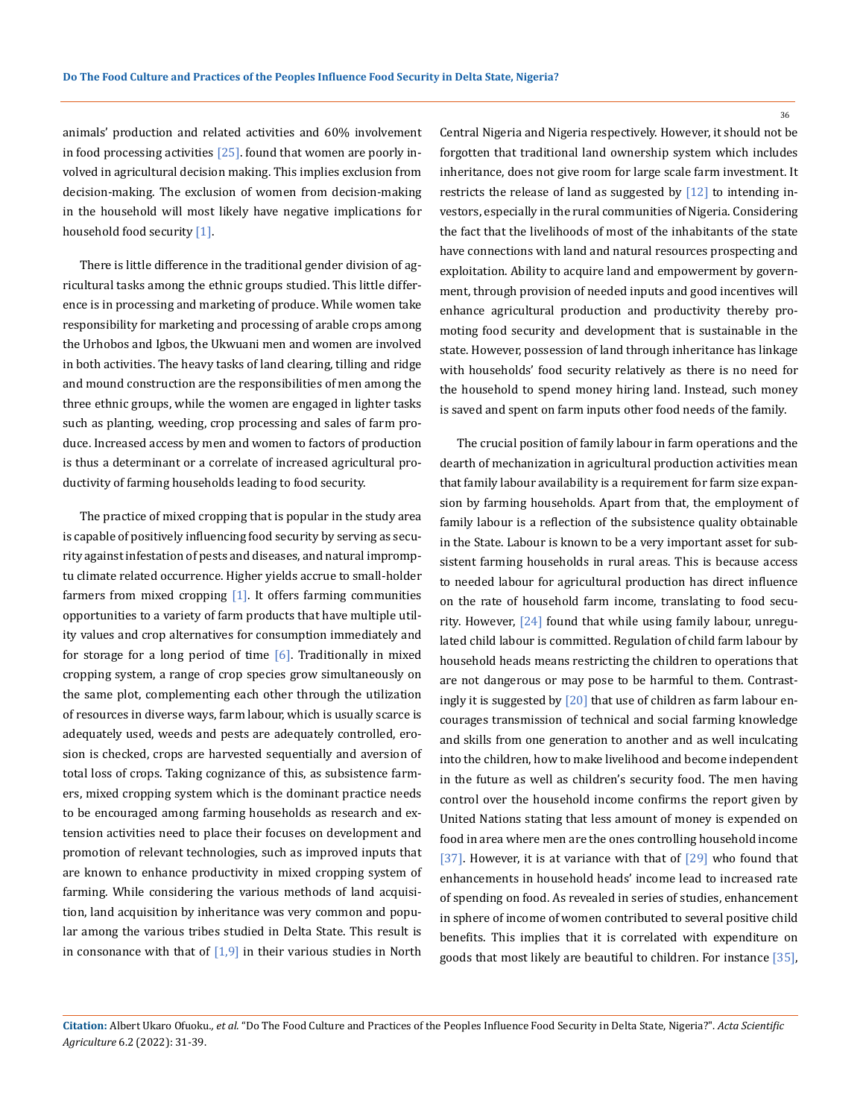animals' production and related activities and 60% involvement in food processing activities  $[25]$ . found that women are poorly involved in agricultural decision making. This implies exclusion from decision-making. The exclusion of women from decision-making in the household will most likely have negative implications for household food security [1].

There is little difference in the traditional gender division of agricultural tasks among the ethnic groups studied. This little difference is in processing and marketing of produce. While women take responsibility for marketing and processing of arable crops among the Urhobos and Igbos, the Ukwuani men and women are involved in both activities. The heavy tasks of land clearing, tilling and ridge and mound construction are the responsibilities of men among the three ethnic groups, while the women are engaged in lighter tasks such as planting, weeding, crop processing and sales of farm produce. Increased access by men and women to factors of production is thus a determinant or a correlate of increased agricultural productivity of farming households leading to food security.

The practice of mixed cropping that is popular in the study area is capable of positively influencing food security by serving as security against infestation of pests and diseases, and natural impromptu climate related occurrence. Higher yields accrue to small-holder farmers from mixed cropping  $[1]$ . It offers farming communities opportunities to a variety of farm products that have multiple utility values and crop alternatives for consumption immediately and for storage for a long period of time  $[6]$ . Traditionally in mixed cropping system, a range of crop species grow simultaneously on the same plot, complementing each other through the utilization of resources in diverse ways, farm labour, which is usually scarce is adequately used, weeds and pests are adequately controlled, erosion is checked, crops are harvested sequentially and aversion of total loss of crops. Taking cognizance of this, as subsistence farmers, mixed cropping system which is the dominant practice needs to be encouraged among farming households as research and extension activities need to place their focuses on development and promotion of relevant technologies, such as improved inputs that are known to enhance productivity in mixed cropping system of farming. While considering the various methods of land acquisition, land acquisition by inheritance was very common and popular among the various tribes studied in Delta State. This result is in consonance with that of  $[1,9]$  in their various studies in North

Central Nigeria and Nigeria respectively. However, it should not be forgotten that traditional land ownership system which includes inheritance, does not give room for large scale farm investment. It restricts the release of land as suggested by [12] to intending investors, especially in the rural communities of Nigeria. Considering the fact that the livelihoods of most of the inhabitants of the state have connections with land and natural resources prospecting and exploitation. Ability to acquire land and empowerment by government, through provision of needed inputs and good incentives will enhance agricultural production and productivity thereby promoting food security and development that is sustainable in the state. However, possession of land through inheritance has linkage with households' food security relatively as there is no need for the household to spend money hiring land. Instead, such money is saved and spent on farm inputs other food needs of the family.

The crucial position of family labour in farm operations and the dearth of mechanization in agricultural production activities mean that family labour availability is a requirement for farm size expansion by farming households. Apart from that, the employment of family labour is a reflection of the subsistence quality obtainable in the State. Labour is known to be a very important asset for subsistent farming households in rural areas. This is because access to needed labour for agricultural production has direct influence on the rate of household farm income, translating to food security. However, [24] found that while using family labour, unregulated child labour is committed. Regulation of child farm labour by household heads means restricting the children to operations that are not dangerous or may pose to be harmful to them. Contrastingly it is suggested by  $[20]$  that use of children as farm labour encourages transmission of technical and social farming knowledge and skills from one generation to another and as well inculcating into the children, how to make livelihood and become independent in the future as well as children's security food. The men having control over the household income confirms the report given by United Nations stating that less amount of money is expended on food in area where men are the ones controlling household income [37]. However, it is at variance with that of [29] who found that enhancements in household heads' income lead to increased rate of spending on food. As revealed in series of studies, enhancement in sphere of income of women contributed to several positive child benefits. This implies that it is correlated with expenditure on goods that most likely are beautiful to children. For instance [35],

**Citation:** Albert Ukaro Ofuoku*., et al.* "Do The Food Culture and Practices of the Peoples Influence Food Security in Delta State, Nigeria?". *Acta Scientific Agriculture* 6.2 (2022): 31-39.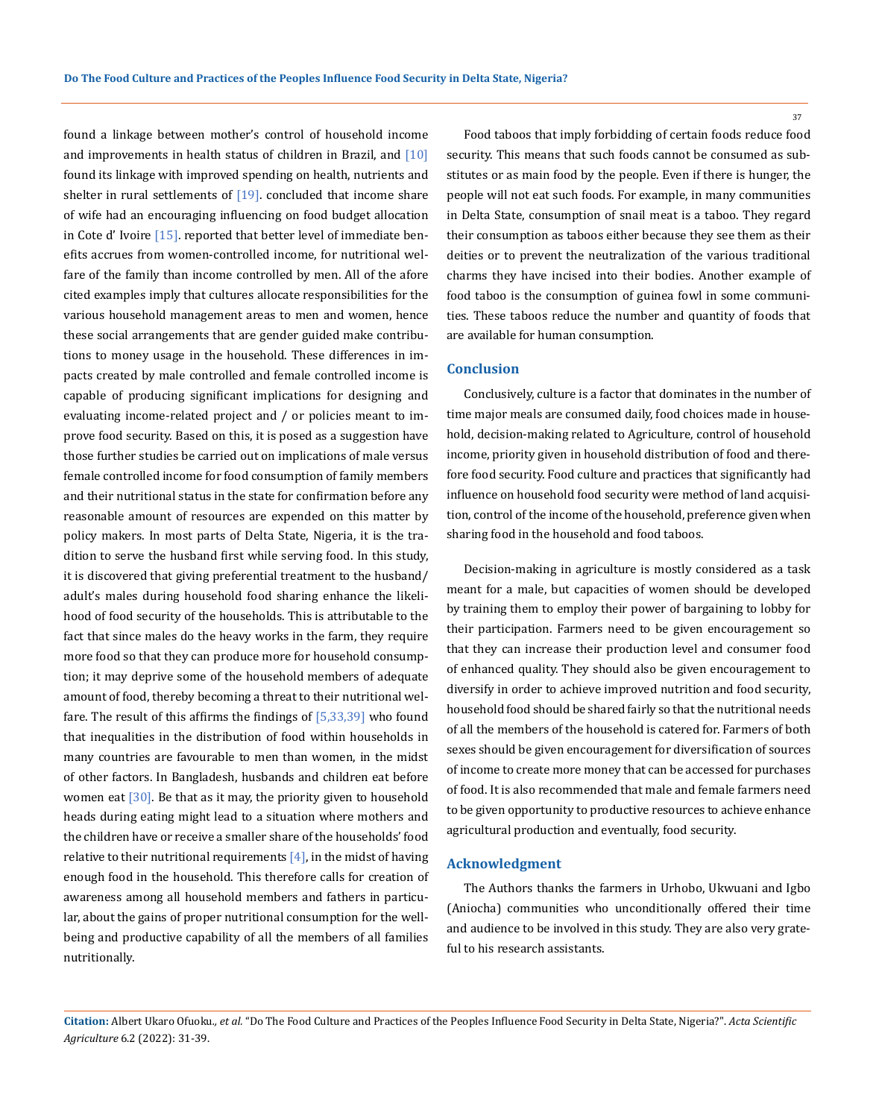found a linkage between mother's control of household income and improvements in health status of children in Brazil, and  $[10]$ found its linkage with improved spending on health, nutrients and shelter in rural settlements of  $[19]$ . concluded that income share of wife had an encouraging influencing on food budget allocation in Cote d'Ivoire  $[15]$ . reported that better level of immediate benefits accrues from women-controlled income, for nutritional welfare of the family than income controlled by men. All of the afore cited examples imply that cultures allocate responsibilities for the various household management areas to men and women, hence these social arrangements that are gender guided make contributions to money usage in the household. These differences in impacts created by male controlled and female controlled income is capable of producing significant implications for designing and evaluating income-related project and / or policies meant to improve food security. Based on this, it is posed as a suggestion have those further studies be carried out on implications of male versus female controlled income for food consumption of family members and their nutritional status in the state for confirmation before any reasonable amount of resources are expended on this matter by policy makers. In most parts of Delta State, Nigeria, it is the tradition to serve the husband first while serving food. In this study, it is discovered that giving preferential treatment to the husband/ adult's males during household food sharing enhance the likelihood of food security of the households. This is attributable to the fact that since males do the heavy works in the farm, they require more food so that they can produce more for household consumption; it may deprive some of the household members of adequate amount of food, thereby becoming a threat to their nutritional welfare. The result of this affirms the findings of  $[5,33,39]$  who found that inequalities in the distribution of food within households in many countries are favourable to men than women, in the midst of other factors. In Bangladesh, husbands and children eat before women eat  $\left[30\right]$ . Be that as it may, the priority given to household heads during eating might lead to a situation where mothers and the children have or receive a smaller share of the households' food relative to their nutritional requirements  $[4]$ , in the midst of having enough food in the household. This therefore calls for creation of awareness among all household members and fathers in particular, about the gains of proper nutritional consumption for the wellbeing and productive capability of all the members of all families nutritionally.

Food taboos that imply forbidding of certain foods reduce food security. This means that such foods cannot be consumed as substitutes or as main food by the people. Even if there is hunger, the people will not eat such foods. For example, in many communities in Delta State, consumption of snail meat is a taboo. They regard their consumption as taboos either because they see them as their deities or to prevent the neutralization of the various traditional charms they have incised into their bodies. Another example of food taboo is the consumption of guinea fowl in some communities. These taboos reduce the number and quantity of foods that are available for human consumption.

#### **Conclusion**

Conclusively, culture is a factor that dominates in the number of time major meals are consumed daily, food choices made in household, decision-making related to Agriculture, control of household income, priority given in household distribution of food and therefore food security. Food culture and practices that significantly had influence on household food security were method of land acquisition, control of the income of the household, preference given when sharing food in the household and food taboos.

Decision-making in agriculture is mostly considered as a task meant for a male, but capacities of women should be developed by training them to employ their power of bargaining to lobby for their participation. Farmers need to be given encouragement so that they can increase their production level and consumer food of enhanced quality. They should also be given encouragement to diversify in order to achieve improved nutrition and food security, household food should be shared fairly so that the nutritional needs of all the members of the household is catered for. Farmers of both sexes should be given encouragement for diversification of sources of income to create more money that can be accessed for purchases of food. It is also recommended that male and female farmers need to be given opportunity to productive resources to achieve enhance agricultural production and eventually, food security.

#### **Acknowledgment**

The Authors thanks the farmers in Urhobo, Ukwuani and Igbo (Aniocha) communities who unconditionally offered their time and audience to be involved in this study. They are also very grateful to his research assistants.

**Citation:** Albert Ukaro Ofuoku*., et al.* "Do The Food Culture and Practices of the Peoples Influence Food Security in Delta State, Nigeria?". *Acta Scientific Agriculture* 6.2 (2022): 31-39.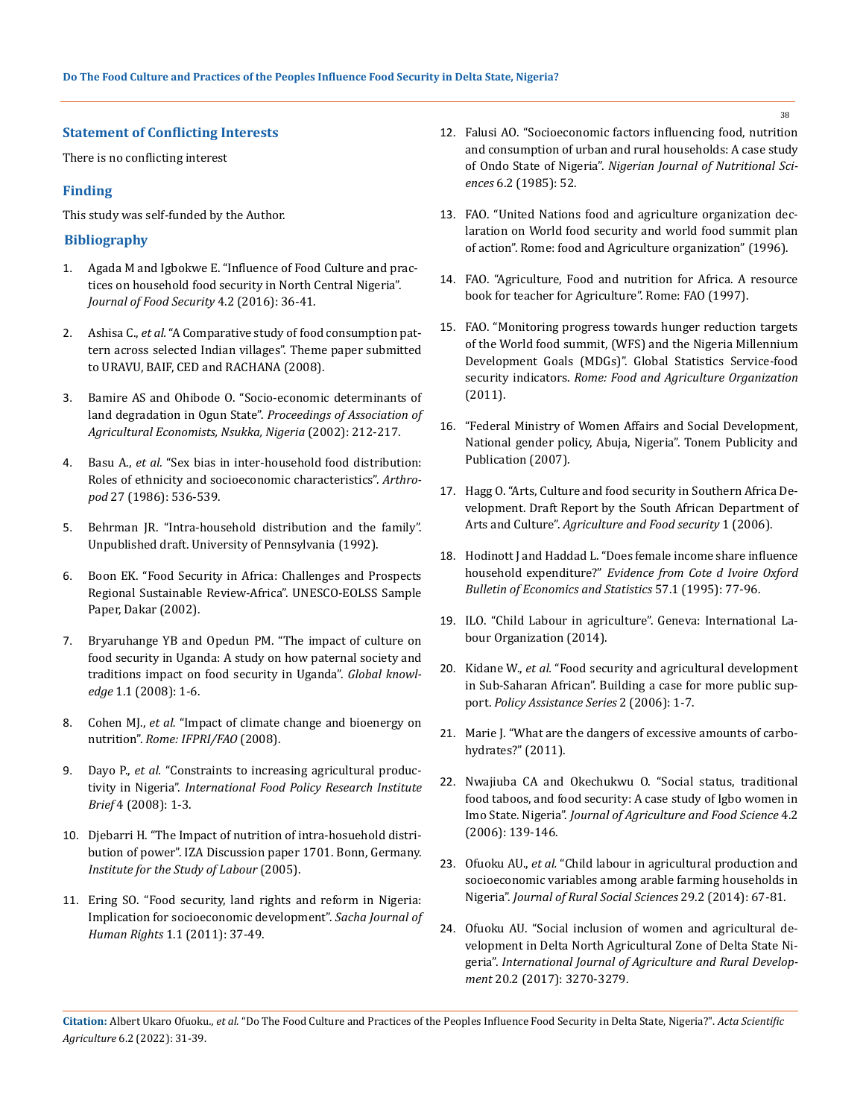### **Statement of Conflicting Interests**

There is no conflicting interest

## **Finding**

This study was self-funded by the Author.

## **Bibliography**

- 1. [Agada M and Igbokwe E. "Influence of Food Culture and prac](http://pubs.sciepub.com/jfs/4/2/2/)[tices on household food security in North Central Nigeria".](http://pubs.sciepub.com/jfs/4/2/2/)  *[Journal of Food Security](http://pubs.sciepub.com/jfs/4/2/2/)* 4.2 (2016): 36-41.
- 2. Ashisa C., *et al.* ["A Comparative study of food consumption pat](https://fdocuments.in/document/a-comparative-study-of-food-consumption-pattern-across-selected-indian-villages.html)[tern across selected Indian villages". Theme paper submitted](https://fdocuments.in/document/a-comparative-study-of-food-consumption-pattern-across-selected-indian-villages.html)  [to URAVU, BAIF, CED and RACHANA \(2008\).](https://fdocuments.in/document/a-comparative-study-of-food-consumption-pattern-across-selected-indian-villages.html)
- 3. Bamire AS and Ohibode O. "Socio-economic determinants of land degradation in Ogun State". *Proceedings of Association of Agricultural Economists, Nsukka, Nigeria* (2002): 212-217.
- 4. Basu A., *et al.* ["Sex bias in inter-household food distribution:](https://www.jstor.org/stable/2742872)  [Roles of ethnicity and socioeconomic characteristics".](https://www.jstor.org/stable/2742872) *Arthropod* [27 \(1986\): 536-539.](https://www.jstor.org/stable/2742872)
- 5. [Behrman JR. "Intra-household distribution and the family".](https://www.sciencedirect.com/science/article/pii/S1574003X97800219)  [Unpublished draft. University of Pennsylvania \(1992\).](https://www.sciencedirect.com/science/article/pii/S1574003X97800219)
- 6. [Boon EK. "Food Security in Africa: Challenges and Prospects](https://www.eolss.net/sample-chapters/C16/E1-48-02-00.pdf)  [Regional Sustainable Review-Africa". UNESCO-EOLSS Sample](https://www.eolss.net/sample-chapters/C16/E1-48-02-00.pdf)  [Paper, Dakar \(2002\).](https://www.eolss.net/sample-chapters/C16/E1-48-02-00.pdf)
- 7. Bryaruhange YB and Opedun PM. "The impact of culture on food security in Uganda: A study on how paternal society and traditions impact on food security in Uganda". *Global knowledge* 1.1 (2008): 1-6.
- 8. Cohen MJ., *et al.* ["Impact of climate change and bioenergy on](https://www.ifpri.org/publication/impact-climate-change-and-bioenergy-nutrition)  nutrition". *[Rome: IFPRI/FAO](https://www.ifpri.org/publication/impact-climate-change-and-bioenergy-nutrition)* (2008).
- 9. Dayo P., *et al.* ["Constraints to increasing agricultural produc](https://www.ifpri.org/publication/constraints-increasing-agricultural-productivity-nigeria)tivity in Nigeria". *International Food [Policy Research Institute](https://www.ifpri.org/publication/constraints-increasing-agricultural-productivity-nigeria)  Brief* [4 \(2008\): 1-3.](https://www.ifpri.org/publication/constraints-increasing-agricultural-productivity-nigeria)
- 10. [Djebarri H. "The Impact of nutrition of intra-hosuehold distri](https://repec.iza.org/dp1701.pdf)[bution of power". IZA Discussion paper 1701. Bonn, Germany.](https://repec.iza.org/dp1701.pdf)  *[Institute for the Study of Labour](https://repec.iza.org/dp1701.pdf)* (2005).
- 11. [Ering SO. "Food security, land rights and reform in Nigeria:](https://www.researchgate.net/publication/326252970_Food_security_land_rights_and_land_reforms_in_Nigeria_implications_for_socio-economic_development)  [Implication for socioeconomic development".](https://www.researchgate.net/publication/326252970_Food_security_land_rights_and_land_reforms_in_Nigeria_implications_for_socio-economic_development) *Sacha Journal of Human Rights* [1.1 \(2011\): 37-49.](https://www.researchgate.net/publication/326252970_Food_security_land_rights_and_land_reforms_in_Nigeria_implications_for_socio-economic_development)
- 12. Falusi AO. "Socioeconomic factors influencing food, nutrition and consumption of urban and rural households: A case study of Ondo State of Nigeria". *Nigerian Journal of Nutritional Sciences* 6.2 (1985): 52.
- 13. FAO. "United Nations food and agriculture organization declaration on World food security and world food summit plan of action". Rome: food and Agriculture organization" (1996).
- 14. [FAO. "Agriculture, Food and nutrition for Africa. A resource](https://www.fao.org/3/w0078e/w0078e00.htm)  [book for teacher for Agriculture". Rome: FAO \(1997\).](https://www.fao.org/3/w0078e/w0078e00.htm)
- 15. [FAO. "Monitoring progress towards hunger reduction targets](https://www.fao.org/fileadmin/templates/ess/documents/food_security_statistics/monitoring_progress_by_country_2003-2005/Niger_e.pdf)  [of the World food summit, \(WFS\) and the Nigeria Millennium](https://www.fao.org/fileadmin/templates/ess/documents/food_security_statistics/monitoring_progress_by_country_2003-2005/Niger_e.pdf)  [Development Goals \(MDGs\)". Global Statistics Service-food](https://www.fao.org/fileadmin/templates/ess/documents/food_security_statistics/monitoring_progress_by_country_2003-2005/Niger_e.pdf)  security indicators. *[Rome: Food and Agriculture Organization](https://www.fao.org/fileadmin/templates/ess/documents/food_security_statistics/monitoring_progress_by_country_2003-2005/Niger_e.pdf)*  [\(2011\).](https://www.fao.org/fileadmin/templates/ess/documents/food_security_statistics/monitoring_progress_by_country_2003-2005/Niger_e.pdf)
- 16. ["Federal Ministry of Women Affairs and Social Development,](https://socialprotection.org/connect/stakeholders/nigeria-federal-ministry-women-affairs-and-social-development)  [National gender policy, Abuja, Nigeria". Tonem Publicity and](https://socialprotection.org/connect/stakeholders/nigeria-federal-ministry-women-affairs-and-social-development)  [Publication \(2007\).](https://socialprotection.org/connect/stakeholders/nigeria-federal-ministry-women-affairs-and-social-development)
- 17. [Hagg O. "Arts, Culture and food security in Southern Africa De](https://www.americansforthearts.org/sites/default/files/Hagg_Artscultureandfoodsecurity.pdf)[velopment. Draft Report by the South African Department of](https://www.americansforthearts.org/sites/default/files/Hagg_Artscultureandfoodsecurity.pdf)  Arts and Culture". *[Agriculture and Food security](https://www.americansforthearts.org/sites/default/files/Hagg_Artscultureandfoodsecurity.pdf)* 1 (2006).
- 18. [Hodinott J and Haddad L. "Does female income share influence](https://onlinelibrary.wiley.com/doi/10.1111/j.1468-0084.1995.tb00028.x)  household expenditure?" *Evidence [from Cote d Ivoire Oxford](https://onlinelibrary.wiley.com/doi/10.1111/j.1468-0084.1995.tb00028.x)  [Bulletin of Economics and Statistics](https://onlinelibrary.wiley.com/doi/10.1111/j.1468-0084.1995.tb00028.x)* 57.1 (1995): 77-96.
- 19. [ILO. "Child Labour in agriculture". Geneva: International La](https://www.ilo.org/ipec/areas/Agriculture/lang--en/index.htm)[bour Organization \(2014\).](https://www.ilo.org/ipec/areas/Agriculture/lang--en/index.htm)
- 20. Kidane W., *et al.* ["Food security and agricultural development](https://www.fao.org/3/a0627e/a0627e00.htm)  [in Sub-Saharan African". Building a case for more public sup](https://www.fao.org/3/a0627e/a0627e00.htm)port. *[Policy Assistance Series](https://www.fao.org/3/a0627e/a0627e00.htm)* 2 (2006): 1-7.
- 21. [Marie J. "What are the dangers of excessive amounts of carbo](https://healthyeating.sfgate.com/dangers-excessive-amounts-carbohydrates-4345.html)[hydrates?" \(2011\).](https://healthyeating.sfgate.com/dangers-excessive-amounts-carbohydrates-4345.html)
- 22. [Nwajiuba CA and Okechukwu O. "Social status, traditional](https://www.semanticscholar.org/paper/Social-Status%2C-Traditional-Food-Taboos-and-Food-A-Nwajiuba-Okechukwu/14da277f8587b49d546b4146badc65dc38d7d1fb)  [food taboos, and food security: A case study of Igbo women in](https://www.semanticscholar.org/paper/Social-Status%2C-Traditional-Food-Taboos-and-Food-A-Nwajiuba-Okechukwu/14da277f8587b49d546b4146badc65dc38d7d1fb)  Imo State. Nigeria". *[Journal of Agriculture and Food Science](https://www.semanticscholar.org/paper/Social-Status%2C-Traditional-Food-Taboos-and-Food-A-Nwajiuba-Okechukwu/14da277f8587b49d546b4146badc65dc38d7d1fb)* 4.2 [\(2006\): 139-146.](https://www.semanticscholar.org/paper/Social-Status%2C-Traditional-Food-Taboos-and-Food-A-Nwajiuba-Okechukwu/14da277f8587b49d546b4146badc65dc38d7d1fb)
- 23. Ofuoku AU., *et al.* ["Child labour in agricultural production and](https://www.researchgate.net/publication/274064689_CHILD_LABOR_IN_AGRICULTURAL_PRODUCTION_AND_SOCIOECONOMIC_VARIABLES_AMONG_ARABLE_FARMING_HOUSEHOLDS_IN_NIGERIA)  [socioeconomic variables among arable farming households in](https://www.researchgate.net/publication/274064689_CHILD_LABOR_IN_AGRICULTURAL_PRODUCTION_AND_SOCIOECONOMIC_VARIABLES_AMONG_ARABLE_FARMING_HOUSEHOLDS_IN_NIGERIA)  Nigeria". *[Journal of Rural Social Sciences](https://www.researchgate.net/publication/274064689_CHILD_LABOR_IN_AGRICULTURAL_PRODUCTION_AND_SOCIOECONOMIC_VARIABLES_AMONG_ARABLE_FARMING_HOUSEHOLDS_IN_NIGERIA)* 29.2 (2014): 67-81.
- 24. [Ofuoku AU. "Social inclusion of women and agricultural de](https://www.academia.edu/37055394/11_Social_inclusion_of_women_and_agricultural_activities_pdf)[velopment in Delta North Agricultural Zone of Delta State Ni](https://www.academia.edu/37055394/11_Social_inclusion_of_women_and_agricultural_activities_pdf)geria". *[International Journal of Agriculture and Rural Develop](https://www.academia.edu/37055394/11_Social_inclusion_of_women_and_agricultural_activities_pdf)ment* [20.2 \(2017\): 3270-3279.](https://www.academia.edu/37055394/11_Social_inclusion_of_women_and_agricultural_activities_pdf)

**Citation:** Albert Ukaro Ofuoku*., et al.* "Do The Food Culture and Practices of the Peoples Influence Food Security in Delta State, Nigeria?". *Acta Scientific Agriculture* 6.2 (2022): 31-39.